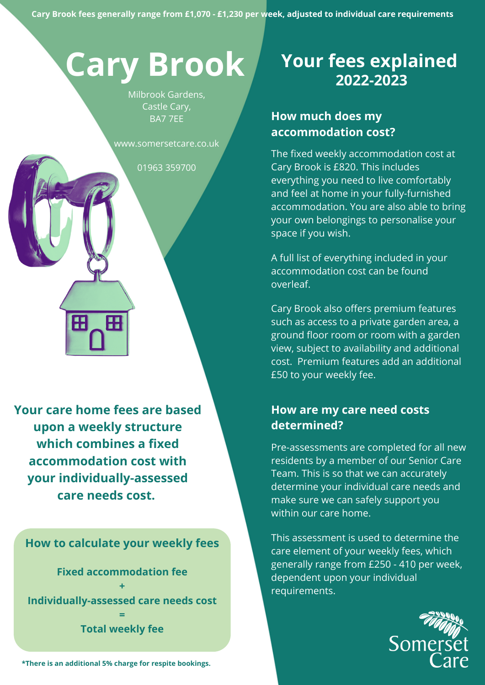# **Cary Brook**

Milbrook Gardens, Castle Cary, BA7 7EE

www.somersetcare.co.uk

01963 359700

**Your care home fees are based upon a weekly structure which combines a fixed accommodation cost with your individually-assessed care needs cost.**

Æ

H

**How to calculate your weekly fees**

**Fixed accommodation fee + Individually-assessed care needs cost = Total weekly fee**

**\*There is an additional 5% charge for respite bookings.**

# **Your fees explained 2022-2023**

## **How much does my accommodation cost?**

The fixed weekly accommodation cost at Cary Brook is £820. This includes everything you need to live comfortably and feel at home in your fully-furnished accommodation. You are also able to bring your own belongings to personalise your space if you wish.

A full list of everything included in your accommodation cost can be found overleaf.

Cary Brook also offers premium features such as access to a private garden area, a ground floor room or room with a garden view, subject to availability and additional cost. Premium features add an additional £50 to your weekly fee.

### **How are my care need costs determined?**

Pre-assessments are completed for all new residents by a member of our Senior Care Team. This is so that we can accurately determine your individual care needs and make sure we can safely support you within our care home.

This assessment is used to determine the care element of your weekly fees, which generally range from £250 - 410 per week, dependent upon your individual requirements.